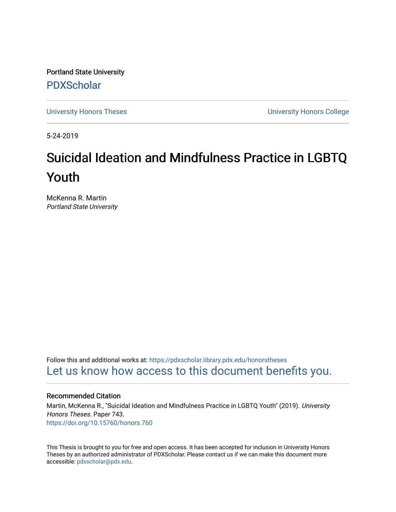Portland State University [PDXScholar](https://pdxscholar.library.pdx.edu/)

[University Honors Theses](https://pdxscholar.library.pdx.edu/honorstheses) [University Honors College](https://pdxscholar.library.pdx.edu/honors) 

5-24-2019

# Suicidal Ideation and Mindfulness Practice in LGBTQ Youth

McKenna R. Martin Portland State University

Follow this and additional works at: [https://pdxscholar.library.pdx.edu/honorstheses](https://pdxscholar.library.pdx.edu/honorstheses?utm_source=pdxscholar.library.pdx.edu%2Fhonorstheses%2F743&utm_medium=PDF&utm_campaign=PDFCoverPages)  [Let us know how access to this document benefits you.](http://library.pdx.edu/services/pdxscholar-services/pdxscholar-feedback/) 

## Recommended Citation

Martin, McKenna R., "Suicidal Ideation and Mindfulness Practice in LGBTQ Youth" (2019). University Honors Theses. Paper 743. <https://doi.org/10.15760/honors.760>

This Thesis is brought to you for free and open access. It has been accepted for inclusion in University Honors Theses by an authorized administrator of PDXScholar. Please contact us if we can make this document more accessible: [pdxscholar@pdx.edu.](mailto:pdxscholar@pdx.edu)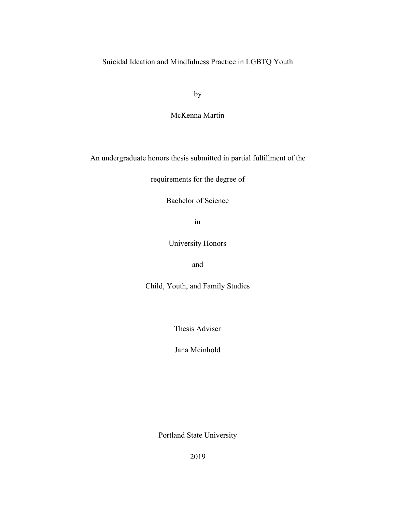Suicidal Ideation and Mindfulness Practice in LGBTQ Youth

by

McKenna Martin

An undergraduate honors thesis submitted in partial fulfillment of the

requirements for the degree of

Bachelor of Science

in

University Honors

and

Child, Youth, and Family Studies

Thesis Adviser

Jana Meinhold

Portland State University

2019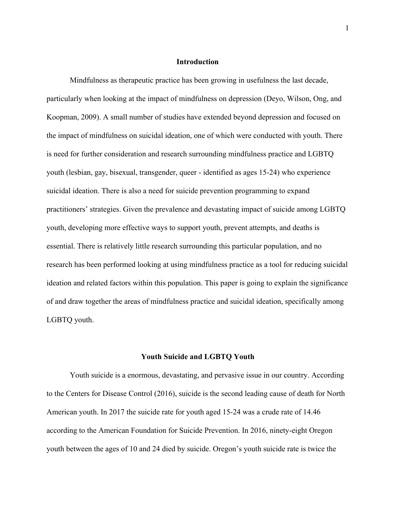# **Introduction**

Mindfulness as therapeutic practice has been growing in usefulness the last decade, particularly when looking at the impact of mindfulness on depression (Deyo, Wilson, Ong, and Koopman, 2009). A small number of studies have extended beyond depression and focused on the impact of mindfulness on suicidal ideation, one of which were conducted with youth. There is need for further consideration and research surrounding mindfulness practice and LGBTQ youth (lesbian, gay, bisexual, transgender, queer - identified as ages 15-24) who experience suicidal ideation. There is also a need for suicide prevention programming to expand practitioners' strategies. Given the prevalence and devastating impact of suicide among LGBTQ youth, developing more effective ways to support youth, prevent attempts, and deaths is essential. There is relatively little research surrounding this particular population, and no research has been performed looking at using mindfulness practice as a tool for reducing suicidal ideation and related factors within this population. This paper is going to explain the significance of and draw together the areas of mindfulness practice and suicidal ideation, specifically among LGBTQ youth.

#### **Youth Suicide and LGBTQ Youth**

Youth suicide is a enormous, devastating, and pervasive issue in our country. According to the Centers for Disease Control (2016), suicide is the second leading cause of death for North American youth. In 2017 the suicide rate for youth aged 15-24 was a crude rate of 14.46 according to the American Foundation for Suicide Prevention. In 2016, ninety-eight Oregon youth between the ages of 10 and 24 died by suicide. Oregon's youth suicide rate is twice the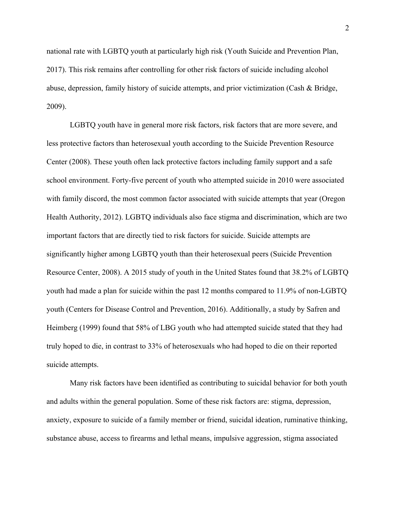national rate with LGBTQ youth at particularly high risk (Youth Suicide and Prevention Plan, 2017). This risk remains after controlling for other risk factors of suicide including alcohol abuse, depression, family history of suicide attempts, and prior victimization (Cash & Bridge, 2009).

LGBTQ youth have in general more risk factors, risk factors that are more severe, and less protective factors than heterosexual youth according to the Suicide Prevention Resource Center (2008). These youth often lack protective factors including family support and a safe school environment. Forty-five percent of youth who attempted suicide in 2010 were associated with family discord, the most common factor associated with suicide attempts that year (Oregon Health Authority, 2012). LGBTQ individuals also face stigma and discrimination, which are two important factors that are directly tied to risk factors for suicide. Suicide attempts are significantly higher among LGBTQ youth than their heterosexual peers (Suicide Prevention Resource Center, 2008). A 2015 study of youth in the United States found that 38.2% of LGBTQ youth had made a plan for suicide within the past 12 months compared to 11.9% of non-LGBTQ youth (Centers for Disease Control and Prevention, 2016). Additionally, a study by Safren and Heimberg (1999) found that 58% of LBG youth who had attempted suicide stated that they had truly hoped to die, in contrast to 33% of heterosexuals who had hoped to die on their reported suicide attempts.

Many risk factors have been identified as contributing to suicidal behavior for both youth and adults within the general population. Some of these risk factors are: stigma, depression, anxiety, exposure to suicide of a family member or friend, suicidal ideation, ruminative thinking, substance abuse, access to firearms and lethal means, impulsive aggression, stigma associated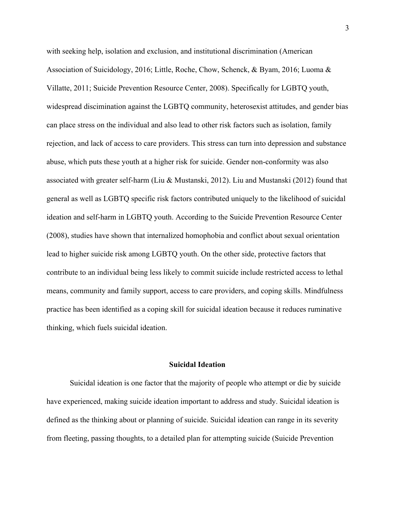with seeking help, isolation and exclusion, and institutional discrimination (American Association of Suicidology, 2016; Little, Roche, Chow, Schenck, & Byam, 2016; Luoma & Villatte, 2011; Suicide Prevention Resource Center, 2008). Specifically for LGBTQ youth, widespread discimination against the LGBTQ community, heterosexist attitudes, and gender bias can place stress on the individual and also lead to other risk factors such as isolation, family rejection, and lack of access to care providers. This stress can turn into depression and substance abuse, which puts these youth at a higher risk for suicide. Gender non-conformity was also associated with greater self-harm (Liu & Mustanski, 2012). Liu and Mustanski (2012) found that general as well as LGBTQ specific risk factors contributed uniquely to the likelihood of suicidal ideation and self-harm in LGBTQ youth. According to the Suicide Prevention Resource Center (2008), studies have shown that internalized homophobia and conflict about sexual orientation lead to higher suicide risk among LGBTQ youth. On the other side, protective factors that contribute to an individual being less likely to commit suicide include restricted access to lethal means, community and family support, access to care providers, and coping skills. Mindfulness practice has been identified as a coping skill for suicidal ideation because it reduces ruminative thinking, which fuels suicidal ideation.

## **Suicidal Ideation**

Suicidal ideation is one factor that the majority of people who attempt or die by suicide have experienced, making suicide ideation important to address and study. Suicidal ideation is defined as the thinking about or planning of suicide. Suicidal ideation can range in its severity from fleeting, passing thoughts, to a detailed plan for attempting suicide (Suicide Prevention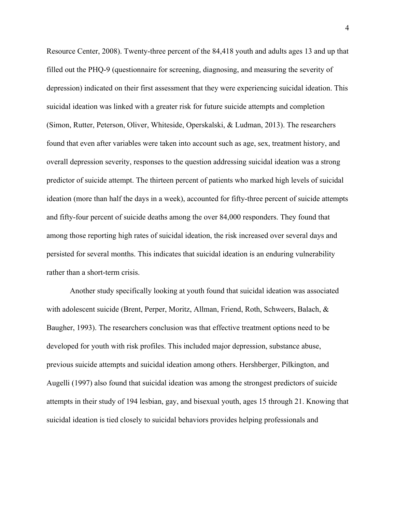Resource Center, 2008). Twenty-three percent of the 84,418 youth and adults ages 13 and up that filled out the PHQ-9 (questionnaire for screening, diagnosing, and measuring the severity of depression) indicated on their first assessment that they were experiencing suicidal ideation. This suicidal ideation was linked with a greater risk for future suicide attempts and completion (Simon, Rutter, Peterson, Oliver, Whiteside, Operskalski, & Ludman, 2013). The researchers found that even after variables were taken into account such as age, sex, treatment history, and overall depression severity, responses to the question addressing suicidal ideation was a strong predictor of suicide attempt. The thirteen percent of patients who marked high levels of suicidal ideation (more than half the days in a week), accounted for fifty-three percent of suicide attempts and fifty-four percent of suicide deaths among the over 84,000 responders. They found that among those reporting high rates of suicidal ideation, the risk increased over several days and persisted for several months. This indicates that suicidal ideation is an enduring vulnerability rather than a short-term crisis.

Another study specifically looking at youth found that suicidal ideation was associated with adolescent suicide (Brent, Perper, Moritz, Allman, Friend, Roth, Schweers, Balach, & Baugher, 1993). The researchers conclusion was that effective treatment options need to be developed for youth with risk profiles. This included major depression, substance abuse, previous suicide attempts and suicidal ideation among others. Hershberger, Pilkington, and Augelli (1997) also found that suicidal ideation was among the strongest predictors of suicide attempts in their study of 194 lesbian, gay, and bisexual youth, ages 15 through 21. Knowing that suicidal ideation is tied closely to suicidal behaviors provides helping professionals and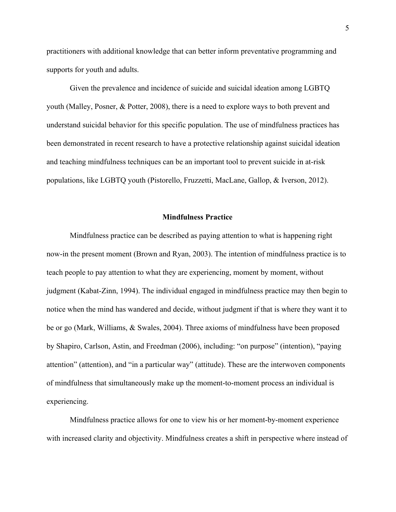practitioners with additional knowledge that can better inform preventative programming and supports for youth and adults.

Given the prevalence and incidence of suicide and suicidal ideation among LGBTQ youth (Malley, Posner, & Potter, 2008), there is a need to explore ways to both prevent and understand suicidal behavior for this specific population. The use of mindfulness practices has been demonstrated in recent research to have a protective relationship against suicidal ideation and teaching mindfulness techniques can be an important tool to prevent suicide in at-risk populations, like LGBTQ youth (Pistorello, Fruzzetti, MacLane, Gallop, & Iverson, 2012).

#### **Mindfulness Practice**

Mindfulness practice can be described as paying attention to what is happening right now-in the present moment (Brown and Ryan, 2003). The intention of mindfulness practice is to teach people to pay attention to what they are experiencing, moment by moment, without judgment (Kabat-Zinn, 1994). The individual engaged in mindfulness practice may then begin to notice when the mind has wandered and decide, without judgment if that is where they want it to be or go (Mark, Williams, & Swales, 2004). Three axioms of mindfulness have been proposed by Shapiro, Carlson, Astin, and Freedman (2006), including: "on purpose" (intention), "paying attention" (attention), and "in a particular way" (attitude). These are the interwoven components of mindfulness that simultaneously make up the moment-to-moment process an individual is experiencing.

Mindfulness practice allows for one to view his or her moment-by-moment experience with increased clarity and objectivity. Mindfulness creates a shift in perspective where instead of

5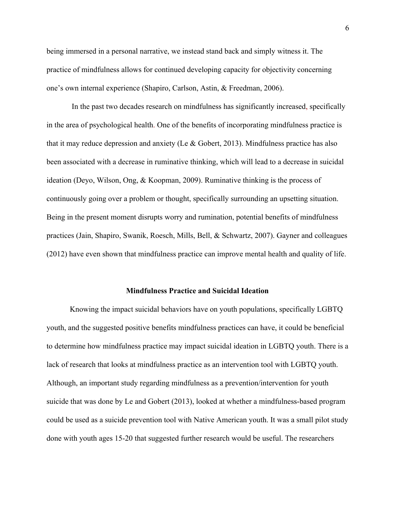being immersed in a personal narrative, we instead stand back and simply witness it. The practice of mindfulness allows for continued developing capacity for objectivity concerning one's own internal experience (Shapiro, Carlson, Astin, & Freedman, 2006).

 In the past two decades research on mindfulness has significantly increased, specifically in the area of psychological health. One of the benefits of incorporating mindfulness practice is that it may reduce depression and anxiety (Le  $\&$  Gobert, 2013). Mindfulness practice has also been associated with a decrease in ruminative thinking, which will lead to a decrease in suicidal ideation (Deyo, Wilson, Ong, & Koopman, 2009). Ruminative thinking is the process of continuously going over a problem or thought, specifically surrounding an upsetting situation. Being in the present moment disrupts worry and rumination, potential benefits of mindfulness practices (Jain, Shapiro, Swanik, Roesch, Mills, Bell, & Schwartz, 2007). Gayner and colleagues (2012) have even shown that mindfulness practice can improve mental health and quality of life.

#### **Mindfulness Practice and Suicidal Ideation**

Knowing the impact suicidal behaviors have on youth populations, specifically LGBTQ youth, and the suggested positive benefits mindfulness practices can have, it could be beneficial to determine how mindfulness practice may impact suicidal ideation in LGBTQ youth. There is a lack of research that looks at mindfulness practice as an intervention tool with LGBTQ youth. Although, an important study regarding mindfulness as a prevention/intervention for youth suicide that was done by Le and Gobert (2013), looked at whether a mindfulness-based program could be used as a suicide prevention tool with Native American youth. It was a small pilot study done with youth ages 15-20 that suggested further research would be useful. The researchers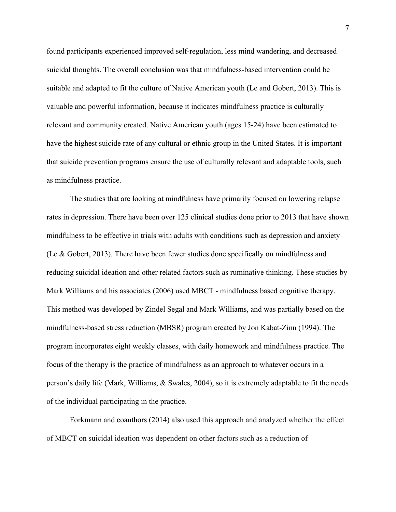found participants experienced improved self-regulation, less mind wandering, and decreased suicidal thoughts. The overall conclusion was that mindfulness-based intervention could be suitable and adapted to fit the culture of Native American youth (Le and Gobert, 2013). This is valuable and powerful information, because it indicates mindfulness practice is culturally relevant and community created. Native American youth (ages 15-24) have been estimated to have the highest suicide rate of any cultural or ethnic group in the United States. It is important that suicide prevention programs ensure the use of culturally relevant and adaptable tools, such as mindfulness practice.

The studies that are looking at mindfulness have primarily focused on lowering relapse rates in depression. There have been over 125 clinical studies done prior to 2013 that have shown mindfulness to be effective in trials with adults with conditions such as depression and anxiety (Le & Gobert, 2013). There have been fewer studies done specifically on mindfulness and reducing suicidal ideation and other related factors such as ruminative thinking. These studies by Mark Williams and his associates (2006) used MBCT - mindfulness based cognitive therapy. This method was developed by Zindel Segal and Mark Williams, and was partially based on the mindfulness-based stress reduction (MBSR) program created by Jon Kabat-Zinn (1994). The program incorporates eight weekly classes, with daily homework and mindfulness practice. The focus of the therapy is the practice of mindfulness as an approach to whatever occurs in a person's daily life (Mark, Williams, & Swales, 2004), so it is extremely adaptable to fit the needs of the individual participating in the practice.

Forkmann and coauthors (2014) also used this approach and analyzed whether the effect of MBCT on suicidal ideation was dependent on other factors such as a reduction of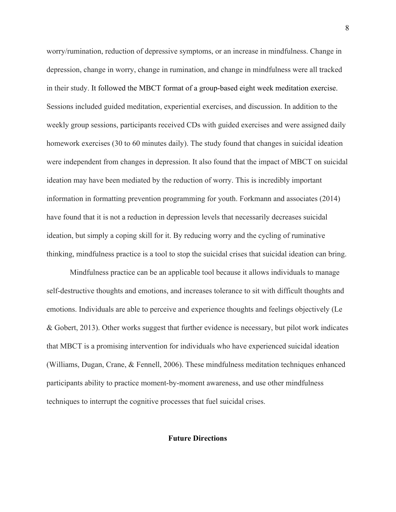worry/rumination, reduction of depressive symptoms, or an increase in mindfulness. Change in depression, change in worry, change in rumination, and change in mindfulness were all tracked in their study. It followed the MBCT format of a group-based eight week meditation exercise. Sessions included guided [meditation,](https://www.sciencedirect.com/topics/neuroscience/meditation) experiential exercises, and discussion. In addition to the weekly group sessions, participants received CDs with guided exercises and were assigned daily homework exercises (30 to 60 minutes daily). The study found that changes in suicidal ideation were independent from changes in depression. It also found that the impact of MBCT on suicidal ideation may have been mediated by the reduction of worry. This is incredibly important information in formatting prevention programming for youth. Forkmann and associates (2014) have found that it is not a reduction in depression levels that necessarily decreases suicidal ideation, but simply a coping skill for it. By reducing worry and the cycling of ruminative thinking, mindfulness practice is a tool to stop the suicidal crises that suicidal ideation can bring.

Mindfulness practice can be an applicable tool because it allows individuals to manage self-destructive thoughts and emotions, and increases tolerance to sit with difficult thoughts and emotions. Individuals are able to perceive and experience thoughts and feelings objectively (Le & Gobert, 2013). Other works suggest that further evidence is necessary, but pilot work indicates that MBCT is a promising intervention for individuals who have experienced suicidal ideation (Williams, Dugan, Crane, & Fennell, 2006). These mindfulness meditation techniques enhanced participants ability to practice moment-by-moment awareness, and use other mindfulness techniques to interrupt the cognitive processes that fuel suicidal crises.

## **Future Directions**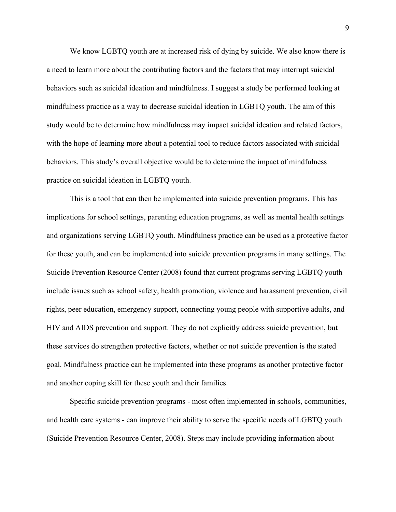We know LGBTQ youth are at increased risk of dying by suicide. We also know there is a need to learn more about the contributing factors and the factors that may interrupt suicidal behaviors such as suicidal ideation and mindfulness. I suggest a study be performed looking at mindfulness practice as a way to decrease suicidal ideation in LGBTQ youth. The aim of this study would be to determine how mindfulness may impact suicidal ideation and related factors, with the hope of learning more about a potential tool to reduce factors associated with suicidal behaviors. This study's overall objective would be to determine the impact of mindfulness practice on suicidal ideation in LGBTQ youth.

This is a tool that can then be implemented into suicide prevention programs. This has implications for school settings, parenting education programs, as well as mental health settings and organizations serving LGBTQ youth. Mindfulness practice can be used as a protective factor for these youth, and can be implemented into suicide prevention programs in many settings. The Suicide Prevention Resource Center (2008) found that current programs serving LGBTQ youth include issues such as school safety, health promotion, violence and harassment prevention, civil rights, peer education, emergency support, connecting young people with supportive adults, and HIV and AIDS prevention and support. They do not explicitly address suicide prevention, but these services do strengthen protective factors, whether or not suicide prevention is the stated goal. Mindfulness practice can be implemented into these programs as another protective factor and another coping skill for these youth and their families.

Specific suicide prevention programs - most often implemented in schools, communities, and health care systems - can improve their ability to serve the specific needs of LGBTQ youth (Suicide Prevention Resource Center, 2008). Steps may include providing information about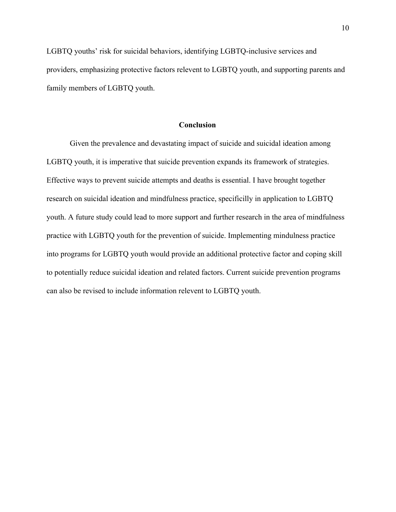LGBTQ youths' risk for suicidal behaviors, identifying LGBTQ-inclusive services and providers, emphasizing protective factors relevent to LGBTQ youth, and supporting parents and family members of LGBTQ youth.

## **Conclusion**

Given the prevalence and devastating impact of suicide and suicidal ideation among LGBTQ youth, it is imperative that suicide prevention expands its framework of strategies. Effective ways to prevent suicide attempts and deaths is essential. I have brought together research on suicidal ideation and mindfulness practice, specificilly in application to LGBTQ youth. A future study could lead to more support and further research in the area of mindfulness practice with LGBTQ youth for the prevention of suicide. Implementing mindulness practice into programs for LGBTQ youth would provide an additional protective factor and coping skill to potentially reduce suicidal ideation and related factors. Current suicide prevention programs can also be revised to include information relevent to LGBTQ youth.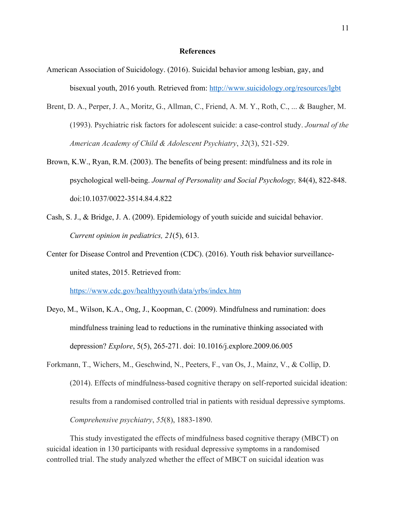## **References**

- American Association of Suicidology. (2016). Suicidal behavior among lesbian, gay, and bisexual youth, 2016 youth*.* Retrieved from: <http://www.suicidology.org/resources/lgbt>
- Brent, D. A., Perper, J. A., Moritz, G., Allman, C., Friend, A. M. Y., Roth, C., ... & Baugher, M. (1993). Psychiatric risk factors for adolescent suicide: a case-control study. *Journal of the American Academy of Child & Adolescent Psychiatry*, *32*(3), 521-529.
- Brown, K.W., Ryan, R.M. (2003). The benefits of being present: mindfulness and its role in psychological well-being. *Journal of Personality and Social Psychology,* 84(4), 822-848. doi:10.1037/0022-3514.84.4.822
- Cash, S. J., & Bridge, J. A. (2009). Epidemiology of youth suicide and suicidal behavior. *Current opinion in pediatrics, 21*(5), 613.
- Center for Disease Control and Prevention (CDC). (2016). Youth risk behavior surveillanceunited states, 2015. Retrieved from:

<https://www.cdc.gov/healthyyouth/data/yrbs/index.htm>

- Deyo, M., Wilson, K.A., Ong, J., Koopman, C. (2009). Mindfulness and rumination: does mindfulness training lead to reductions in the ruminative thinking associated with depression? *Explore*, 5(5), 265-271. doi: 10.1016/j.explore.2009.06.005
- Forkmann, T., Wichers, M., Geschwind, N., Peeters, F., van Os, J., Mainz, V., & Collip, D. (2014). Effects of mindfulness-based cognitive therapy on self-reported suicidal ideation: results from a randomised controlled trial in patients with residual depressive symptoms. *Comprehensive psychiatry*, *55*(8), 1883-1890.

This study investigated the effects of mindfulness based cognitive therapy (MBCT) on suicidal ideation in 130 participants with residual depressive symptoms in a randomised controlled trial. The study analyzed whether the effect of MBCT on suicidal ideation was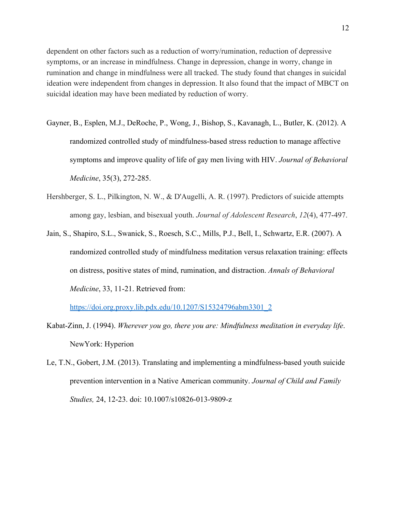dependent on other factors such as a reduction of worry/rumination, reduction of depressive symptoms, or an increase in mindfulness. Change in depression, change in worry, change in rumination and change in mindfulness were all tracked. The study found that changes in suicidal ideation were independent from changes in depression. It also found that the impact of MBCT on suicidal ideation may have been mediated by reduction of worry.

- Gayner, B., Esplen, M.J., DeRoche, P., Wong, J., Bishop, S., Kavanagh, L., Butler, K. (2012). A randomized controlled study of mindfulness-based stress reduction to manage affective symptoms and improve quality of life of gay men living with HIV. *Journal of Behavioral Medicine*, 35(3), 272-285.
- Hershberger, S. L., Pilkington, N. W., & D'Augelli, A. R. (1997). Predictors of suicide attempts among gay, lesbian, and bisexual youth. *Journal of Adolescent Research*, *12*(4), 477-497.
- Jain, S., Shapiro, S.L., Swanick, S., Roesch, S.C., Mills, P.J., Bell, I., Schwartz, E.R. (2007). A randomized controlled study of mindfulness meditation versus relaxation training: effects on distress, positive states of mind, rumination, and distraction. *Annals of Behavioral Medicine*, 33, 11-21. Retrieved from:

[https://doi.org.proxy.lib.pdx.edu/10.1207/S15324796abm3301\\_2](https://doi.org.proxy.lib.pdx.edu/10.1207/S15324796abm3301_2)

- Kabat-Zinn, J. (1994). *Wherever you go, there you are: Mindfulness meditation in everyday life*. NewYork: Hyperion
- Le, T.N., Gobert, J.M. (2013). Translating and implementing a mindfulness-based youth suicide prevention intervention in a Native American community. *Journal of Child and Family Studies,* 24, 12-23. doi: 10.1007/s10826-013-9809-z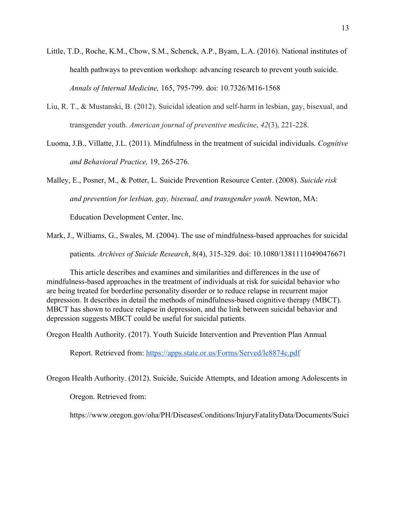- Little, T.D., Roche, K.M., Chow, S.M., Schenck, A.P., Byam, L.A. (2016). National institutes of health pathways to prevention workshop: advancing research to prevent youth suicide. *Annals of Internal Medicine,* 165, 795-799. doi: 10.7326/M16-1568
- Liu, R. T., & Mustanski, B. (2012). Suicidal ideation and self-harm in lesbian, gay, bisexual, and transgender youth. *American journal of preventive medicine*, *42*(3), 221-228.
- Luoma, J.B., Villatte, J.L. (2011). Mindfulness in the treatment of suicidal individuals. *Cognitive and Behavioral Practice,* 19, 265-276.

Malley, E., Posner, M., & Potter, L. Suicide Prevention Resource Center. (2008). *Suicide risk and prevention for lesbian, gay, bisexual, and transgender youth.* Newton, MA:

Education Development Center, Inc.

Mark, J., Williams, G., Swales, M. (2004). The use of mindfulness-based approaches for suicidal patients. *Archives of Suicide Research*, 8(4), 315-329. doi: 10.1080/13811110490476671

This article describes and examines and similarities and differences in the use of mindfulness-based approaches in the treatment of individuals at risk for suicidal behavior who are being treated for borderline personality disorder or to reduce relapse in recurrent major depression. It describes in detail the methods of mindfulness-based cognitive therapy (MBCT). MBCT has shown to reduce relapse in depression, and the link between suicidal behavior and depression suggests MBCT could be useful for suicidal patients.

Oregon Health Authority. (2017). Youth Suicide Intervention and Prevention Plan Annual

Report. Retrieved from: <https://apps.state.or.us/Forms/Served/le8874c.pdf>

Oregon Health Authority. (2012). Suicide, Suicide Attempts, and Ideation among Adolescents in

Oregon. Retrieved from:

https://www.oregon.gov/oha/PH/DiseasesConditions/InjuryFatalityData/Documents/Suici